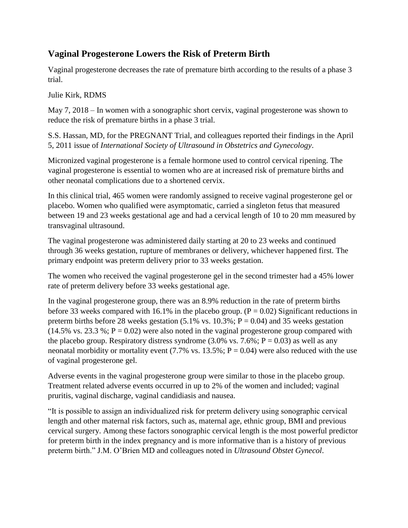## **Vaginal Progesterone Lowers the Risk of Preterm Birth**

Vaginal progesterone decreases the rate of premature birth according to the results of a phase 3 trial.

Julie Kirk, RDMS

May 7, 2018 – In women with a sonographic short cervix, vaginal progesterone was shown to reduce the risk of premature births in a phase 3 trial.

S.S. Hassan, MD, for the PREGNANT Trial, and colleagues reported their findings in the April 5, 2011 issue of *International Society of Ultrasound in Obstetrics and Gynecology*.

Micronized vaginal progesterone is a female hormone used to control cervical ripening. The vaginal progesterone is essential to women who are at increased risk of premature births and other neonatal complications due to a shortened cervix.

In this clinical trial, 465 women were randomly assigned to receive vaginal progesterone gel or placebo. Women who qualified were asymptomatic, carried a singleton fetus that measured between 19 and 23 weeks gestational age and had a cervical length of 10 to 20 mm measured by transvaginal ultrasound.

The vaginal progesterone was administered daily starting at 20 to 23 weeks and continued through 36 weeks gestation, rupture of membranes or delivery, whichever happened first. The primary endpoint was preterm delivery prior to 33 weeks gestation.

The women who received the vaginal progesterone gel in the second trimester had a 45% lower rate of preterm delivery before 33 weeks gestational age.

In the vaginal progesterone group, there was an 8.9% reduction in the rate of preterm births before 33 weeks compared with 16.1% in the placebo group.  $(P = 0.02)$  Significant reductions in preterm births before 28 weeks gestation  $(5.1\% \text{ vs. } 10.3\%; P = 0.04)$  and 35 weeks gestation  $(14.5\% \text{ vs. } 23.3\%; P = 0.02)$  were also noted in the vaginal progesterone group compared with the placebo group. Respiratory distress syndrome  $(3.0\% \text{ vs. } 7.6\%; P = 0.03)$  as well as any neonatal morbidity or mortality event (7.7% vs.  $13.5\%$ ; P = 0.04) were also reduced with the use of vaginal progesterone gel.

Adverse events in the vaginal progesterone group were similar to those in the placebo group. Treatment related adverse events occurred in up to 2% of the women and included; vaginal pruritis, vaginal discharge, vaginal candidiasis and nausea.

"It is possible to assign an individualized risk for preterm delivery using sonographic cervical length and other maternal risk factors, such as, maternal age, ethnic group, BMI and previous cervical surgery. Among these factors sonographic cervical length is the most powerful predictor for preterm birth in the index pregnancy and is more informative than is a history of previous preterm birth." J.M. O'Brien MD and colleagues noted in *Ultrasound Obstet Gynecol*.